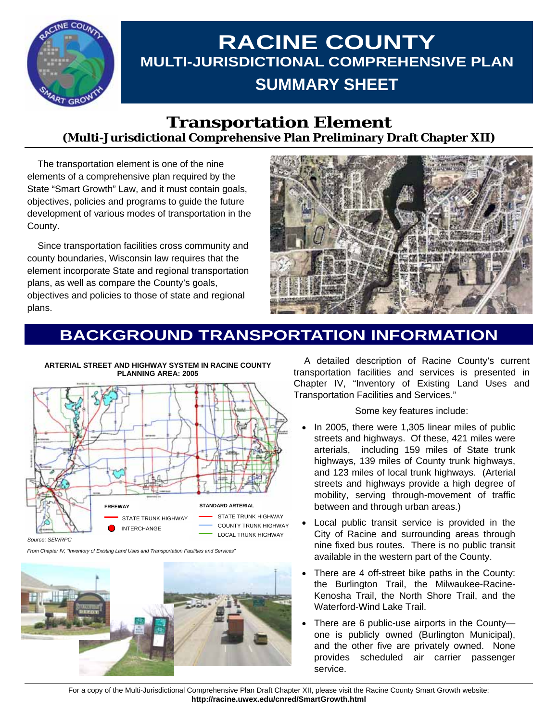

# **RACINE COUNTY MULTI-JURISDICTIONAL COMPREHENSIVE PLAN SUMMARY SHEET**

### **Transportation Element (Multi-Jurisdictional Comprehensive Plan Preliminary Draft Chapter XII)**

 The transportation element is one of the nine elements of a comprehensive plan required by the State "Smart Growth" Law, and it must contain goals, objectives, policies and programs to guide the future development of various modes of transportation in the County.

 Since transportation facilities cross community and county boundaries, Wisconsin law requires that the element incorporate State and regional transportation plans, as well as compare the County's goals, objectives and policies to those of state and regional plans.



## **BACKGROUND TRANSPORTATION INFORMATION**



*Source: SEWRPC* 

*From Chapter IV, "Inventory of Existing Land Uses and Transportation Facilities and Services"* 



 A detailed description of Racine County's current transportation facilities and services is presented in Chapter IV, "Inventory of Existing Land Uses and Transportation Facilities and Services."

Some key features include:

- In 2005, there were 1,305 linear miles of public streets and highways. Of these, 421 miles were arterials, including 159 miles of State trunk highways, 139 miles of County trunk highways, and 123 miles of local trunk highways. (Arterial streets and highways provide a high degree of mobility, serving through-movement of traffic between and through urban areas.)
- Local public transit service is provided in the City of Racine and surrounding areas through nine fixed bus routes. There is no public transit available in the western part of the County.
- There are 4 off-street bike paths in the County: the Burlington Trail, the Milwaukee-Racine-Kenosha Trail, the North Shore Trail, and the Waterford-Wind Lake Trail.
- There are 6 public-use airports in the County one is publicly owned (Burlington Municipal), and the other five are privately owned. None provides scheduled air carrier passenger service.

For a copy of the Multi-Jurisdictional Comprehensive Plan Draft Chapter XII, please visit the Racine County Smart Growth website: **http://racine.uwex.edu/cnred/SmartGrowth.html**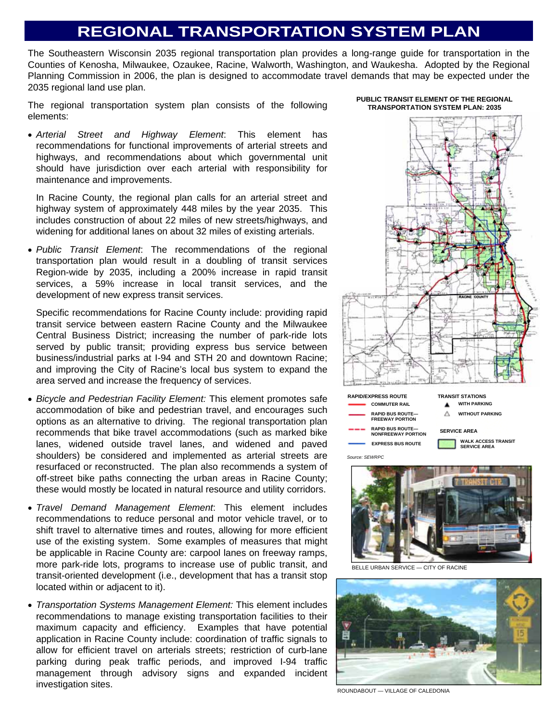### **REGIONAL TRANSPORTATION SYSTEM PLAN**

The Southeastern Wisconsin 2035 regional transportation plan provides a long-range guide for transportation in the Counties of Kenosha, Milwaukee, Ozaukee, Racine, Walworth, Washington, and Waukesha. Adopted by the Regional Planning Commission in 2006, the plan is designed to accommodate travel demands that may be expected under the 2035 regional land use plan.

The regional transportation system plan consists of the following elements:

• *Arterial Street and Highway Element*: This element has recommendations for functional improvements of arterial streets and highways, and recommendations about which governmental unit should have jurisdiction over each arterial with responsibility for maintenance and improvements.

In Racine County, the regional plan calls for an arterial street and highway system of approximately 448 miles by the year 2035. This includes construction of about 22 miles of new streets/highways, and widening for additional lanes on about 32 miles of existing arterials.

• *Public Transit Element*: The recommendations of the regional transportation plan would result in a doubling of transit services Region-wide by 2035, including a 200% increase in rapid transit services, a 59% increase in local transit services, and the development of new express transit services.

Specific recommendations for Racine County include: providing rapid transit service between eastern Racine County and the Milwaukee Central Business District; increasing the number of park-ride lots served by public transit; providing express bus service between business/industrial parks at I-94 and STH 20 and downtown Racine; and improving the City of Racine's local bus system to expand the area served and increase the frequency of services.

- *Bicycle and Pedestrian Facility Element:* This element promotes safe accommodation of bike and pedestrian travel, and encourages such options as an alternative to driving. The regional transportation plan recommends that bike travel accommodations (such as marked bike lanes, widened outside travel lanes, and widened and paved shoulders) be considered and implemented as arterial streets are resurfaced or reconstructed. The plan also recommends a system of off-street bike paths connecting the urban areas in Racine County; these would mostly be located in natural resource and utility corridors.
- *Travel Demand Management Element*: This element includes recommendations to reduce personal and motor vehicle travel, or to shift travel to alternative times and routes, allowing for more efficient use of the existing system. Some examples of measures that might be applicable in Racine County are: carpool lanes on freeway ramps, more park-ride lots, programs to increase use of public transit, and transit-oriented development (i.e., development that has a transit stop located within or adjacent to it).
- *Transportation Systems Management Element:* This element includes recommendations to manage existing transportation facilities to their maximum capacity and efficiency. Examples that have potential application in Racine County include: coordination of traffic signals to allow for efficient travel on arterials streets; restriction of curb-lane parking during peak traffic periods, and improved I-94 traffic management through advisory signs and expanded incident investigation sites.

**PUBLIC TRANSIT ELEMENT OF THE REGIONAL TRANSPORTATION SYSTEM PLAN: 2035** 





BELLE URBAN SERVICE — CITY OF RACINE



ROUNDABOUT — VILLAGE OF CALEDONIA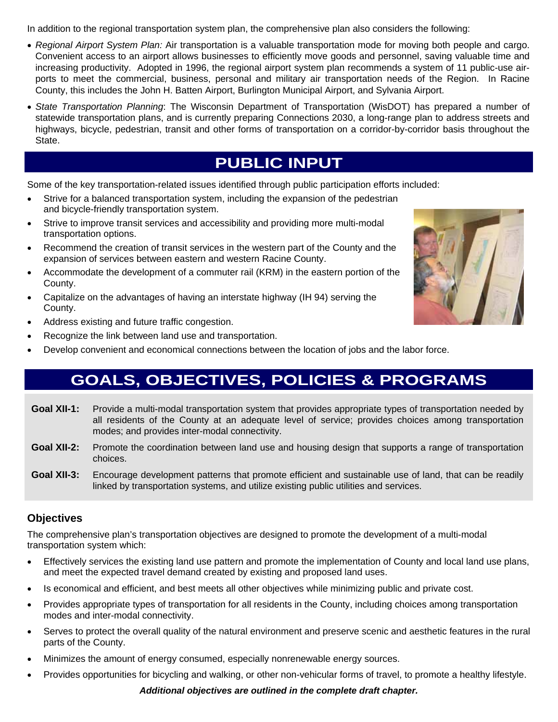In addition to the regional transportation system plan, the comprehensive plan also considers the following:

- *Regional Airport System Plan:* Air transportation is a valuable transportation mode for moving both people and cargo. Convenient access to an airport allows businesses to efficiently move goods and personnel, saving valuable time and increasing productivity. Adopted in 1996, the regional airport system plan recommends a system of 11 public-use airports to meet the commercial, business, personal and military air transportation needs of the Region. In Racine County, this includes the John H. Batten Airport, Burlington Municipal Airport, and Sylvania Airport.
- *State Transportation Planning*: The Wisconsin Department of Transportation (WisDOT) has prepared a number of statewide transportation plans, and is currently preparing Connections 2030, a long-range plan to address streets and highways, bicycle, pedestrian, transit and other forms of transportation on a corridor-by-corridor basis throughout the State.

## **PUBLIC INPUT**

Some of the key transportation-related issues identified through public participation efforts included:

- Strive for a balanced transportation system, including the expansion of the pedestrian and bicycle-friendly transportation system.
- Strive to improve transit services and accessibility and providing more multi-modal transportation options.
- Recommend the creation of transit services in the western part of the County and the expansion of services between eastern and western Racine County.
- Accommodate the development of a commuter rail (KRM) in the eastern portion of the County.
- Capitalize on the advantages of having an interstate highway (IH 94) serving the County.
- Address existing and future traffic congestion.
- Recognize the link between land use and transportation.
- Develop convenient and economical connections between the location of jobs and the labor force.

## **GOALS, OBJECTIVES, POLICIES & PROGRAMS**

- **Goal XII-1:** Provide a multi-modal transportation system that provides appropriate types of transportation needed by all residents of the County at an adequate level of service; provides choices among transportation modes; and provides inter-modal connectivity.
- **Goal XII-2:** Promote the coordination between land use and housing design that supports a range of transportation choices.
- **Goal XII-3:** Encourage development patterns that promote efficient and sustainable use of land, that can be readily linked by transportation systems, and utilize existing public utilities and services.

#### **Objectives**

The comprehensive plan's transportation objectives are designed to promote the development of a multi-modal transportation system which:

- Effectively services the existing land use pattern and promote the implementation of County and local land use plans, and meet the expected travel demand created by existing and proposed land uses.
- Is economical and efficient, and best meets all other objectives while minimizing public and private cost.
- Provides appropriate types of transportation for all residents in the County, including choices among transportation modes and inter-modal connectivity.
- Serves to protect the overall quality of the natural environment and preserve scenic and aesthetic features in the rural parts of the County.
- Minimizes the amount of energy consumed, especially nonrenewable energy sources.
- Provides opportunities for bicycling and walking, or other non-vehicular forms of travel, to promote a healthy lifestyle.

*Additional objectives are outlined in the complete draft chapter.*